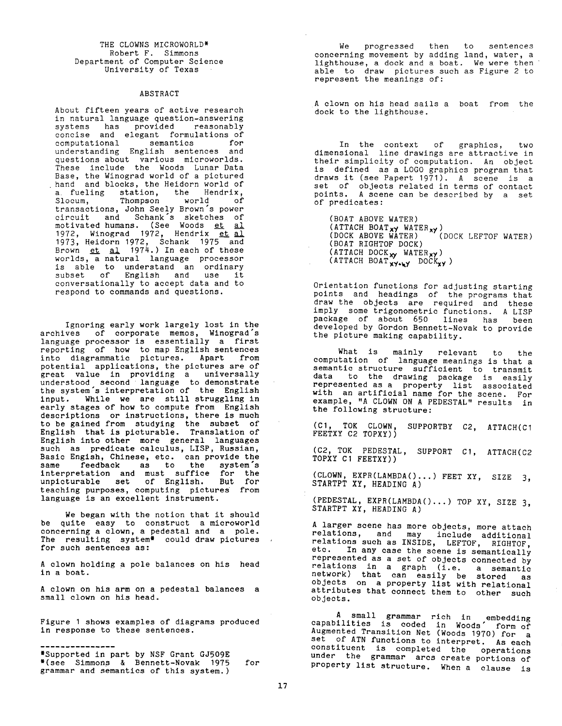THE CLOWNS MICROWORLD\* Robert F. Simmons Department of Computer Science University of Texas

## ABSTRACT

About fifteen years of active research in natural language question-answering systems has provided reasonably concise and elegant formulations of computational semantics for understanding English sentences and questions about various microworlds. These include the Woods Lunar Data Base, the Winograd world of a pictured hand and blocks, the Heidorn world of a fueling station, the Hendrix, Slocum, Thompson world of transactions, John Seely Brown's power circuit and Schank's sketches of motivated humans. (See Woods <u>et</u> <u>al</u> 1972, Winograd 1972, Hendrix <u>et</u> <u>al</u> 1973, Heidorn 1972, Schank 1975 and Brown <u>et al</u> 1974.) In each of these worlds, a natural language processor is able to understand an ordinary subset of English and use it conversationally to accept data and to respond to commands and questions.

Ignoring early work largely lost in the archives of corporate memos, Winograd's language processor is essentially a first reporting of how to map English sentences into diagrammatic pictures. Apart from potential applications, the pictures are of great value in providing a universally understood second language to demonstrate the system's interpretation of the English input. While we are still struggling in early stages of how to compute from English descriptions or instructions, there is much to be gained from studying the subset of English that is picturable. Translation of English into other more general languages such as predicate calculus, LISP, Russian, Basic Engish, Chinese, etc. can provide the same feedback as to the system's interpretation and must suffice for the unpicturable set of English. But for teaching purposes, computing pictures from language is an excellent instrument.

We began with the notion that it should be quite easy to construct a microworld concerning a clown, a pedestal and a pole. The resulting system\* could draw pictures for such sentences as:

A clown holding a pole balances on his head in a boat.

A clown on his arm on a pedestal balances a small clown on his head.

Figure I shows examples of diagrams produced in response to these sentences.

\*Supported in part by NSF Grant GJ509E \*(see Simmons & Bennett-Novak 1975 grammar and semantics of this system.) for

We progressed then to sentences concerning movement by adding land, water, a lighthouse, a dock and a boat. We were then able to draw pictures such as Figure 2 to represent the meanings of:

A clown on his head sails a boat from the dock to the lighthouse.

In the context of graphics, two dimensional line drawings are attractive in their simplicity of computation. An object is defined as a LOGO graphics program that draws it (see Papert 1971). A scene is a set of objects related in terms of contact points. A scene can be described by a set of predicates:

(BOAT ABOVE WATER) (ATTACH BOAT<sub>X</sub>y WATER<sub>xy</sub>) (DOCK ABOVE WATER) (DOCK LEFTOF WATER) (BOAT RIGHTOF DOCK) (ATTACH DOCK<sub>xy</sub> WATER<sub>xy</sub>)  $(ATTACH BOAT'_{XY+ky}$  DOCK<sub>XY</sub>)

Orientation functions for adjusting starting points and headings of the programs that draw the objects are required and these imply some trigonometric functions. A LISP package of about 650 lines has been developed by Gordon Bennett-Novak to provide the picture making capability.

What is mainly relevant to the computation of language meanings is that a semantic structure sufficient to transmit data to the drawing package is easily represented as a property list associated with an artificial name for the scene. For example, "A CLOWN ON A PEDESTAL" results in the following structure:

(CI, TOK CLOWN, SUPPORTBY C2, ATTACH(CI FEETXY C2 TOPXY))

(C2, TOK PEDESTAL, SUPPORT CI, ATTACH(C2 TOPXY CI FEETXY))

(CLOWN, EXPR(LAMBDA()...) FEET XY, SIZE 3, STARTPT XY, HEADING A)

(PEDESTAL, EXPR(LAMBDA()...) TOP XY, SIZE 3, STARTPT XÝ, HEADING A)

A larger scene has more objects, more attach relations, and may include additional relations such as INSIDE, LEFTOF, RIGHTOF, etc. In any case the scene is semantically represented as a set of objects connected by relations in a graph (i.e. a semantic network) that can easily be stored as objects on a property list with relational attributes that connect them to other such objects.

A small grammar rich in embedding capabilities is coded in Woods" form of Augmented Transition Net (Woods 1970) for a set of ATN functions to interpret. As each constituent is completed the operations under the grammar arcs create portions of property list structure. When a clause is

 $\sim 10^{-11}$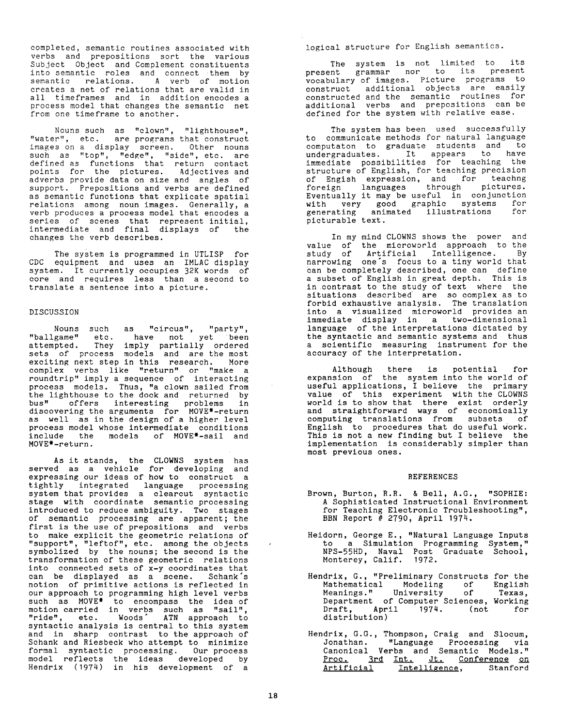completed, semantic routines associated with verbs and prepositions sort the various Subject Object and Complement constituents into semantic roles and connect them by semantic relations. A verb of motion creates a net of relations that are valid in all timeframes and in addition encodes a process model that changes the semantic net from one timeframe to another.

Nouns such as "clown", "lighthouse", "water", etc. are programs that construct images on a display screen. Other nouns such as "top", "edge", "side", etc. are defined as functions that return contact points for the pictures. Adjectives and adverbs provide data on size and angles of support. Prepositions and verbs are defined as semantic functions that explicate spatial relations among noun images. Generally, a verb produces a process model that encodes a series of scenes that represent initial, intermediate and final displays of the changes the verb describes.

The system is programmed in UTLISP for CDC equipment and uses an IMLAC display system. It currently occupies 32K words of core and requires less than a second to translate a sentence into a picture.

## DISCUSSION

Nouns such as "circus", "party", "ballgame" etc. have not yet been attempted. They imply partially ordered sets of process models and are the most exciting next step in this research. More complex verbs like "return" or "make a roundtrip" imply a sequence of interacting process models. Thus, "a clown sailed from the lighthouse to the dock and returned by bus" offers interesting problems in discovering the arguments for MOVE\*-return as well as in the design of a higher level process model whose intermediate conditions include the models of MOVE\*-sail and MOVE\*-return.

As it stands, the CLOWNS system has served as a vehicle for developing and expressing our ideas of how to construct a tightly integrated language processing system that provides a clearcut syntactic stage with coordinate semantic processing introduced to reduce ambiguity. Two stages of semantic processing are apparent; the first is the use of prepositions and verbs to make explicit the geometric relations of "support", "leftof", etc. among the objects symbolized by the nouns; the second is the transformation of these geometric relations into connected sets of x-y coordinates that can be displayed as a scene. Schank's notion of primitive actions is reflected in our approach to programming high level verbs such as MOVE\* to encompass the idea of motion carried in verbs such as "sail", "ride", etc. Woods" ATN approach to syntactic analysis is central to this system and in sharp contrast to the approach of Schank and Riesbeck who attempt to minimize formal syntactic processing. Our process model reflects the ideas developed by Hendrix (1974) in his development of a

logical structure for English semantics.

The system is not limited to lts present grammar nor to its present<br>vocabulary of images. Picture programs to construct additional objects are easily constructed and the semantic routines for additional verbs and prepositions can-be<br>defined-for-the-system-with-relative-ease.

The system has been used successfully to communicate methods for natural language computaton to graduate students and to<br>undergraduates. It appears to have immediate possibilities for teaching the structure of English, for teaching precision of foreign Engish languages expression, through and for pictures.<br>pictures. Eventually it may be useful in conjunction with very good graphic systems for **~m**  generating animated illustrations for<br>picturable text**.** 

In my mind CLOWNS shows the power and value of the microworld approach to the study of Artificial Intelligence. By narrowing one's focus to a tiny world that can be completely described, one can define a subset of English in great depth. This is in contrast to the study of text where the situations forbid exhaustive described analysis. are so The complex translation as to **I**  into a visualized microworld provides an immediate display in a two-dimensional immover of the interpretations dictated by<br>the syntactic and semantic systems and thus a scientific measuring instrument for the accuracy of the interpretation.

expansion Although of the there system is into potential the world for<br>of useful applications, I believe the primary value of this experiment with the CLOWNS world is to show that there exist orderly and straightforward ways of economically **I**  computing translations from subsets of English to procedures that do useful Work. This is not a new finding but I believe the • implementation is considerably simpler than most previous ones.

- REFERENCES<br>Brown, Burton, R.R. & Bell, A.G., "SOPHIE: A Sophisticated Instructional Environment for Teaching Electronic Troubleshooting", BBN Report # 2790, April 1974. **I**
- Heidorn, George E., "Natural Language Inputs 4 to a Simulation Programming System," NPS-55HD, Naval Post Graduate School, **|** Monterey, Calif. 1972.
- Hendrix, G., "Preliminary Constructs for the i Mathematical Modeling of English<br>Meanings." University of Texas,<br>Department of Computer Sciences, Working Draft, April 1974. (not for distribution)
- Hendrix, G.G., Thompson, Craig and Slocum, Jonathan. "Language Processing via Canonical Verbs and Semantic Models**."** Proc. 3rd Int. Jt. Conference o\_\_nn Artificial Intelligence, Stanford **I**